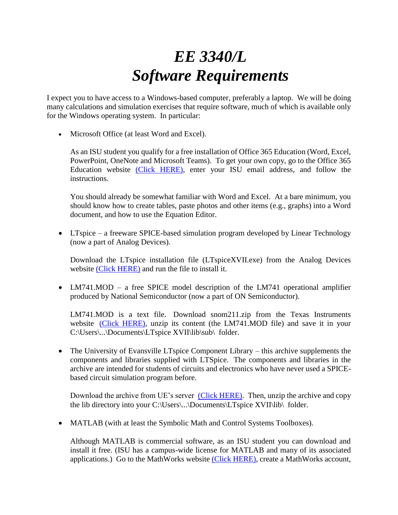## *EE 3340/L Software Requirements*

I expect you to have access to a Windows-based computer, preferably a laptop. We will be doing many calculations and simulation exercises that require software, much of which is available only for the Windows operating system. In particular:

• Microsoft Office (at least Word and Excel).

As an ISU student you qualify for a free installation of Office 365 Education (Word, Excel, PowerPoint, OneNote and Microsoft Teams). To get your own copy, go to the Office 365 Education website [\(Click HERE\),](https://www.microsoft.com/en-us/education/products/office) enter your ISU email address, and follow the instructions.

You should already be somewhat familiar with Word and Excel. At a bare minimum, you should know how to create tables, paste photos and other items (e.g., graphs) into a Word document, and how to use the Equation Editor.

• LTspice – a freeware SPICE-based simulation program developed by Linear Technology (now a part of Analog Devices).

Download the LTspice installation file (LTspiceXVII.exe) from the Analog Devices website [\(Click HERE\)](https://www.analog.com/en/design-center/design-tools-and-calculators/ltspice-simulator.html) and run the file to install it.

• LM741.MOD – a free SPICE model description of the LM741 operational amplifier produced by National Semiconductor (now a part of ON Semiconductor).

LM741.MOD is a text file. Download snom211.zip from the Texas Instruments website [\(Click HERE\),](https://www.ti.com/product/LM741) unzip its content (the LM741.MOD file) and save it in your C:\Users\...\Documents\LTspice XVII\lib\sub\ folder.

• The University of Evansville LTspice Component Library – this archive supplements the components and libraries supplied with LTSpice. The components and libraries in the archive are intended for students of circuits and electronics who have never used a SPICEbased circuit simulation program before.

Download the archive from UE's server [\(Click HERE\).](http://csserver.evansville.edu/~richardson/courseware/resources/LTSpice/index.html) Then, unzip the archive and copy the lib directory into your C:\Users\...\Documents\LTspice XVII\lib\ folder.

• MATLAB (with at least the Symbolic Math and Control Systems Toolboxes).

Although MATLAB is commercial software, as an ISU student you can download and install it free. (ISU has a campus-wide license for MATLAB and many of its associated applications.) Go to the MathWorks website [\(Click HERE\),](https://www.mathworks.com/academia/tah-portal/idaho-state-university-31461727.html) create a MathWorks account,